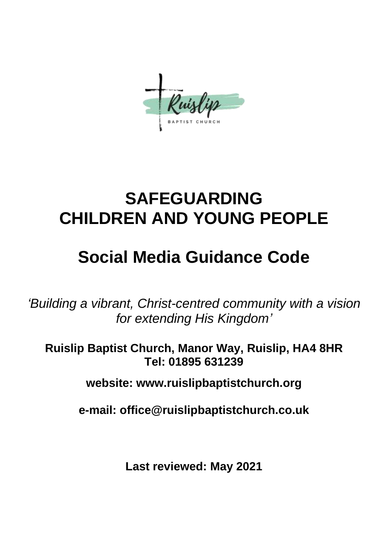## **SAFEGUARDING CHILDREN AND YOUNG PEOPLE**

## **Social Media Guidance Code**

*'Building a vibrant, Christ-centred community with a vision for extending His Kingdom'*

**Ruislip Baptist Church, Manor Way, Ruislip, HA4 8HR Tel: 01895 631239**

**website: www.ruislipbaptistchurch.org**

**e-mail: office@ruislipbaptistchurch.co.uk**

**Last reviewed: May 2021**